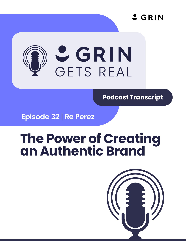

# **SETS REAL**

**Podcast Transcript**

**Episode 32** | **Re Perez**

# **The Power of Creating an Authentic Brand**

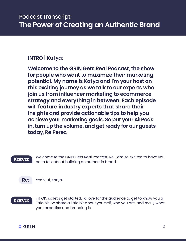### **INTRO | Katya:**

**Welcome to the GRIN Gets Real Podcast, the show for people who want to maximize their marketing potential. My name is Katya and I'm your host on this exciting journey as we talk to our experts who join us from influencer marketing to ecommerce strategy and everything in between. Each episode will feature industry experts that share their insights and provide actionable tips to help you achieve your marketing goals. So put your AirPods in, turn up the volume, and get ready for our guests today, Re Perez.**

## **Katya:**

Welcome to the GRIN Gets Real Podcast. Re, I am so excited to have you on to talk about building an authentic brand.

**Re:** 



**Katya:** 

Hi! OK, so let's get started. I'd love for the audience to get to know you a little bit. So share a little bit about yourself, who you are, and really what your expertise and branding is.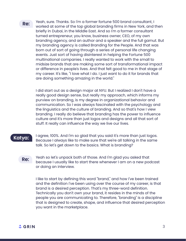**Re:** 

Yeah, sure. Thanks. So I'm a former fortune 500 brand consultant, I worked at some of the top global branding firms in New York, and then briefly in Dubai, in the Middle East. And so I'm a former consultant turned entrepreneur, you know, business owner, CEO, of my own branding agency, and an author and a speaker and the full gamut. But my branding agency is called Branding for the People. And that was born out of sort of going through a series of personal life changing events. Just sort of having disinterest in helping the Fortune 500 multinational companies. I really wanted to work with the small to midsize brands that are making some sort of transformational impact or difference in people's lives. And that felt good to me in that stage of my career. It's like, "I love what I do. I just want to do it for brands that are doing something amazing in the world."

I did start out as a design major at NYU. But I realized I don't have a really good design sense, but really my approach, which informs my purview on branding, is my degree in organizational behavior and communication. So I was always fascinated with the psychology and the linguistics and the culture of branding. And so that's how I view branding. I really do believe that branding has the power to influence culture and it's more than just logos and designs and all that sort of stuff. It really can influence the way we live our lives.

#### **Katya:**

I agree, 100%. And I'm so glad that you said it's more than just logos. Because I always like to make sure that we're all talking in the same talk. So let's get down to the basics. What is branding?

#### **Re:**

Yeah so let's unpack both of those. And I'm glad you asked that because I usually like to start there whenever I am on a new podcast or doing an interview.

I like to start by defining this word "brand," and how I've been trained and the definition I've been using over the course of my career, is that brand is a desired perception. That's my three-word definition. Technically you don't own your brand, it resides in the minds of the people you are communicating to. Therefore, "branding" is a discipline that is designed to create, shape, and influence that desired perception you want in the marketplace.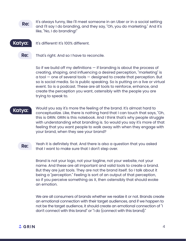It's always funny, like I'll meet someone in an Uber or in a social setting and I'll say I do branding, and they say, "Oh, you do marketing." And it's like, "No, I do branding!" **Re:** 



It's different! It's 100% different.

That's right. And so I have to reconcile. **Re:** 

> So if we build off my definitions — if branding is about the process of creating, shaping, and influencing a desired perception, "marketing" is  $a$  tool  $-$  one of several tools  $-$  designed to create that perception. But so is social media. So is public speaking. So is putting on a live or virtual event. So is a podcast. These are all tools to reinforce, enhance, and create the perception you want, ostensibly with the people you are trying to speak to.

#### **Katya:**

Would you say it's more the feeling of the brand. It's almost hard to conceptualize. Like, there is nothing hard that I can touch that says, "Oh, this is GRIN. GRIN is this notebook. And I think that's why people struggle with understanding what branding is. So would you say it's more of that feeling that you want people to walk away with when they engage with your brand, when they see your brand?

#### **Re:**

Yeah it is definitely that. And there is also a question that you asked that I want to make sure that I don't step over.

Brand is not your logo, not your tagline, not your website, not your name. And these are all important and valid tools to create a brand. But they are just tools. They are not the brand itself. So I talk about it being a "perception." Feeling is sort of an output of that perception, so if you perceive something as X, then ostensibly that should evoke an emotion.

We are all consumers of brands whether we realize it or not. Brands create an emotional connection with their target audiences, and if we happen to not be the target audience, it should create an emotional connection of "I don't connect with this brand" or "I do (connect with this brand)."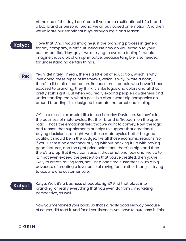At the end of the day, I don't care if you are a multinational b2b brand, a b2c brand or personal brand, we all buy based on emotion. And then we validate our emotional buys through logic and reason.

#### **Katya:**

I love that. And I would imagine just the branding process in general, for any company, is difficult, because how do you explain to your customers like, "Hey, guys, we're trying to evoke a feeling." I would imagine that's a bit of an uphill battle, because tangible is so needed for understanding certain things.

**Re:** 

Yeah, definitely. I mean, there's a little bit of education, which is why I love doing these types of interviews, which is why I wrote a book, there's a little bit of education. Because most people who haven't been exposed to branding, they think it is like logos and colors and all that pretty stuff, right? But when you really expand people's awareness and understanding really what's possible about what big companies do around branding, it is designed to create that emotional feeling.

OK, so a classic example I like to use is Harley Davidson. So they're in the business of motorcycles. But their brand is "freedom on the open road." That's the emotional field that we want to convey. Now, the logic and reason that supplements or helps to support that emotional buying decision is, all right, well, these motorcycles better be good quality, it should be in the budget, like all those economic reasons. So if you just rest on emotional buying without backing it up with having good features, and the right price point, then there's a high and then there's a drop. But if you can sustain that emotional buy and live up to it, if not even exceed the perception that you've created, then you're likely to create raving fans, not just a one time customer. So I'm a big advocate of creating a loyal base of raving fans, rather than just trying to acquire one customer sale.

#### **Katya:**

Katya: Well, it's a business of people, right? And that plays into branding, or really everything that you even do from a marketing perspective, as well.

Now you mentioned your book. So that's a really good segway because I, of course, did read it. And for all you listeners, you have to purchase it. This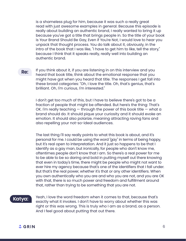is a shameless plug for him, because it was such a really great read with just awesome examples in general. Because this episode is really about building an authentic brand, I really wanted to bring it up because you've got a title that brings people in. So the title of your book is Your Brand Should Be Gay, Even if You're Not, I would love to hear you unpack that thought process. You do talk about it, obviously, in the intro of the book that I was like, "I have to get him to like, tell the story," because I think that it speaks really, really well into building an authentic brand.

If you think about it, if you are listening in on this interview and you heard that book title, think about the emotional response that you might have got when you heard that title. The responses I get fall into these broad categories: "Oh, I love the title. Oh, that's genius, that's brilliant. Oh, I'm curious, I'm interested." **Re:** 

> I don't get too much of this, but I have to believe there's got to be a fraction of people that might be offended. But here's the thing: That's OK. I'm really teaching  $-$  through the power of this book title  $-$  what a brand should do. It should pique your curiosity and it should evoke an emotion. It should also polarize, meaning attracting raving fans and also repelling your not-so-ideal audiences.

The last thing I'll say really points to what this book is about, and it's personal for me. I could be using the word "gay" in terms of being happy, but it's real open to interpretation. And it just so happens to be that I identify as a gay man, but ironically, for people who don't know me, oftentimes people don't know that I am. So there's a real power for me to be able to be so daring and bold in putting myself out there knowing that even in today's time, there might be people who might not want to ever hire my agency because that's one of the identifiers that I fall under. But that's the real power, whether it's that or any other identifiers. When you own authentically who you are and who you are not, and you are OK with that, there is so much power and freedom and fulfillment around that, rather than trying to be something that you are not.

#### **Katya:**

Yeah, I love the word freedom when it comes to that, because that's exactly what it invokes. I don't have to worry about whether this was right or this was wrong. This is truly who I am as a brand, as a person. And I feel good about putting that out there.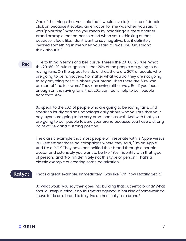One of the things that you said that I would love to just kind of double click on because it evoked an emotion for me was when you said it was "polarizing." What do you mean by polarizing? Is there another brand example that comes to mind when you're thinking of that, because it feels like, I don't want to say negative, but it definitely invoked something in me when you said it, I was like, "Oh, I didn't think about it!"

**Re:** 

I like to think in terms of a bell curve. There's the 20-60-20 rule. What the 20-60-20 rule suggests is that 20% of the people are going to be raving fans. On the opposite side of that, there are 20% of people who are going to be naysayers. No matter what you do, they are not going to say anything positive about your brand. Then there are 60% who are sort of "the followers." They can swing either way. But if you focus enough on the raving fans, that 20% can really help to pull people from that 60%.

So speak to the 20% of people who are going to be raving fans, and speak so loudly and so unapologetically about who you are that your naysayers are going to be very prominent, as well. And with that you are going to pull people toward your brand because you have a strong point of view and a strong position.

The classic example that most people will resonate with is Apple versus PC. Remember those ad campaigns where they said, "'I'm an Apple. And I'm a PC'?" They have personified their brand through a certain avatar and ostensibly you want to be like, "Yes, I identify with that type of person," and "No, I'm definitely not this type of person." That's a classic example of creating some polarization.

#### **Katya:**

That's a great example. Immediately I was like, "Oh, now I totally get it."

So what would you say then goes into building that authentic brand? What should I keep in mind? Should I get an agency? What kind of homework do I have to do as a brand to truly live authentically as a brand?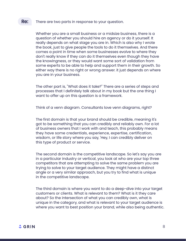#### There are two parts in response to your question. **Re:**

Whether you are a small business or a midsize business, there is a question of whether you should hire an agency or do it yourself. It really depends on what stage you are in. Which is also why I wrote the book, just to give people the tools to do it themselves. And there comes a point in time when some businesses evolve to where they don't really know if they can do it themselves even though they have the knowingness, or they would want some sort of validation from some experts to be able to help and support them in their growth. So either way there is no right or wrong answer. it just depends on where you are in your business.

The other part is, "What does it take?" There are a series of steps and processes that I definitely talk about in my book but the one thing I want to offer up on this question is a framework.

Think of a venn diagram. Consultants love venn diagrams, right?

The first domain is that your brand should be credible, meaning it's got to be something that you can credibly and reliably own. For a lot of business owners that I work with and teach, this probably means they have some credentials, experience, expertise, certification, wisdom, or life story where you say, 'Hey, I can credibly deliver on this type of product or service.

The second domain is the competitive landscape. So let's say you are in a particular industry or vertical, you look at who are your top three competitors that are attempting to solve the same problem you are trying to solve to your target audience. They might have a distinct angle or a very similar approach, but you try to find what is unique in the competitive landscape.

The third domain is where you want to do a deep-dive into your target customers or clients. What is relevant to them? What is it they care about? So the intersection of what you can credibly own, what is unique in the category, and what is relevant to your target audience is where you want to best position your brand, while also being authentic.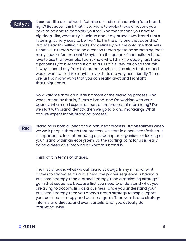#### **Katya:**

It sounds like a lot of work. But also a lot of soul searching for a brand, right? Because I think that if you want to evoke those emotions you have to be able to personify yourself. And that means you have to dig deep. Like, what truly is unique about my brand? Any brand that's listening, it's very easy to be like, "No, I'm the only one that does this." But let's say I'm selling t-shirts. I'm definitely not the only one that sells t-shirts. But there's got to be a reason there's got to be something that's really special for me, right? Maybe I'm the queen of sarcastic t-shirts. I love to use that example. I don't know why, I think I probably just have a propensity to buy sarcastic t-shirts. But it is very much so that this is why I should buy from this brand. Maybe it's the story that a brand would want to tell. Like maybe my t-shirts are very eco friendly. There are just so many ways that you can really pivot and highlight that uniqueness.

Now walk me through a little bit more of the branding process. And what I mean by that is, if I am a brand, and I'm working with your agency, what can I expect as part of the process of rebranding? Do we start with brand identity, then we go to brand marketing? What can we expect in this branding process?

Branding is both a linear and a nonlinear process. But oftentimes when we walk people through that process, we start in a nonlinear fashion. It is important to look at branding as creating an organism, or looking at your brand within an ecosystem. So the starting point for us is really doing a deep dive into who or what this brand is. **Re:** 

Think of it in terms of phases.

The first phase is what we call brand strategy. In my mind when it comes to strategies for a business, the proper sequence is having a business strategy, then a brand strategy, then a marketing strategy. I go in that sequence because first you need to understand what you are trying to accomplish as a business. Once you understand your business strategy, then you apply.a brand strategy to help support your business strategy and business goals. Then your brand strategy informs and directs, and even curtails, what you actually do marketing-wise.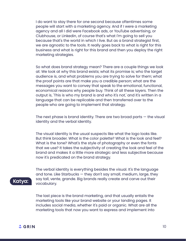I do want to stay there for one second because oftentimes some people will start with a marketing agency. And if I were a marketing agency and all I did were Facebook ads, or YouTube advertising, or Clubhouse, or Linkedin, of course that's what I'm going to sell you because that's the world in which I live. But as a brand strategist first, we are agnostic to the tools. It really goes back to what is right for this business and what is right for this brand and then you deploy the right marketing strategies.

So what does brand strategy mean? There are a couple things we look at: We look at why this brand exists; what its promise is; who the target audience is, and what problems you are trying to solve for them; what the proof points are that make you a credible person; what are the messages you want to convey that speak to the emotional, functional, economical reasons why people buy. Think of all these layers. Then the output is, 'This is who my brand is and who it's not,' and it's written in a language that can be replicable and then transferred over to the people who are going to implement that strategy.

The next phase is brand identity. There are two broad parts — the visual identity and the verbal identity.

The visual identity is the usual suspects like what the logo looks like. But think broader. What is the color palette? What is the look and feel? What is the tone? What's the style of photography or even the fonts that we use? It takes the subjectivity of creating the look and feel of the brand and makes it a little more strategic and less subjective because now it's predicated on the brand strategy.

The verbal identity is everything besides the visual. It's the language and tone. Like Starbucks  $-$  they don't say small, medium, large, they say tall, vente, grande. Big brands really create and carve out their vocabulary.

The last piece is the brand marketing, and that usually entails the marketing tools like your brand website or your landing pages. It includes social media, whether it's paid or organic. What are all the marketing tools that now you want to express and implement into

#### **Katya:**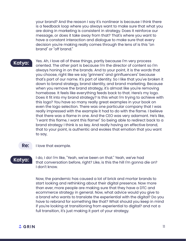your brand? And the reason I say it's nonlinear is because I think there is a feedback loop where you always want to make sure that what you are doing in marketing is consistent in strategy. Does it reinforce our message, or does it take away from that? That's where you want to have a constant interaction and dialogue to make sure that every decision you're making really comes through the lens of is this "on brand" or "off brand."

#### **Katya:**

Yes. Ah, I love all of these things, partly because I'm very process oriented. The other part is because I'm the director of content so I'm always honing in on the brands. And to your point, it is the words that you choose, right like we say "grinners" and grinfluencers" because that's part of our name. It's part of identity. So I like that you've broken it down to brand strategy, brand identity, and brand marketing. Because when you remove the brand strategy, it's almost like you're removing homebase. It feels like everything feeds back to that. Here's my logo. Does it fit into my brand strategy? Is this what I'm trying to achieve with this logo? You have so many really great examples in your book on even the logo selection. There was one particular company that I was really impressed with the example it had to do with the flame. I believe that there was a flame in one. And the CEO was very adamant. He's like, "I want this flame, I want this flame!" So being able to redirect back to a brand strategy I think is so key. And really having an effective brand, that to your point, is authentic and evokes that emotion that you want to say,

#### I love that example. **Re:**

#### **Katya:**

I do, I do! I'm like, "Yeah, we've been on that." Yeah, we've had that conversation before, right? Like, is this the hill I'm gonna die on? I don't know.

Now, the pandemic has caused a lot of brick and mortar brands to start looking and rethinking about their digital presence. Now more than ever, more people are making sure that they have a DTC and ecommerce strategy in general. Now, what advice would you give to a brand who wants to translate the experiential with the digital? Do you have to rebrand for something like that? What should you keep in mind if you're looking at transitioning from experiential to digital? and not a full transition, it's just making it part of your strategy.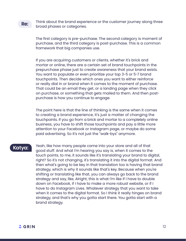Think about the brand experience or the customer journey along three broad phases or categories.

The first category is pre-purchase. The second category is moment of purchase, and the third category is post-purchase. This is a common framework that big companies use.

If you are acquiring customers or clients, whether it's brick and mortar or online, there are a certain set of brand touchpoints in the prepurchase phase just to create awareness that your brand exists. You want to populate or even prioritize your top 3-5 or 5-7 brand touchpoints. Then decide which ones you want to either reinforce or really dial in or brand when it comes to the moment of purchase. That could be an email they get, or a landing page when they click on purchase, or something that gets mailed to them. And then postpurchase is how you continue to engage.

The point here is that the line of thinking is the same when it comes to creating a brand experience, it's just a matter of changing the touchpoints. If you go from a brick and mortar to a completely online business, you have to shift those touchpoints and pay a little more attention to your Facebook or Instagram page, or maybe do some paid advertising. So it's not just the "walk-bys" anymore.

#### **Katya:**

Yeah, like how many people came into your store and all of that good stuff. And what I'm hearing you say is, when it comes to the touch points, to me, it sounds like it's translating your brand to digital, right? So it's not changing, it's translating it into the digital format. And then what's going to be key in that translation too is having that brand strategy, which is why it sounds like that's key. Because when you're shifting or translating like that, you can always go back to the brand strategy and say, like, Alright, this is what I'm like if I have to double down on Facebook, if I have to make a more robust website, or if I have to do Instagram Lives. Whatever strategy that you want to take when it comes to the digital format. So I think it really hinges on brand strategy, and that's why you gotta start there. You gotta start with a brand strategy.

**Re:**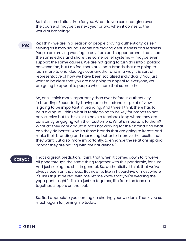So this is prediction time for you. What do you see changing over the course of maybe the next year or two when it comes to the world of branding?

Re: I think we are in a season of people craving authenticity, as self serving as it may sound. People are craving genuineness and realness. People are craving wanting to buy from and support brands that share the same ethos and share the same belief systems — maybe even support the same causes. We are not going to turn this into a political conversation, but I do feel there are some brands that are going to lean more to one ideology over another and in a way it is sort of representative of how we have been socialized individually. You just want to be clear that you are not going to appeal to everyone, you are going to appeal to people who share that same ethos. **Re:** 

> So, one, I think more importantly than ever before is authenticity in branding. Secondarily, having an ethos, stand, or point of view is going to be important in branding. And three, I think there has to be a dialogue. I think what is really going to be key for brands to not only survive but to thrive, is to have a feedback loop where they are constantly engaging with their customers. What's important to them? What do they care about? What's not working for their brand and what can they do better? And it's those brands that are going to iterate and make their branding and marketing better to improve the results that they want. But also, more importantly, to enhance the relationship and impact they are having with their audience. `

#### **Katya:**

That's a great prediction. I think that when it comes down to it, we've all gone through the same thing together with this pandemic, for sure. And just seeing the shift in general. So, authenticity: I think that we've always been on that road. But now it's like in hyperdrive almost where it's like OK just be real with me, let me know that you're wearing the yoga pants, right? Like I'm just up together, like from the face up together, slippers on the feet.

So, Re, I appreciate you coming on sharing your wisdom. Thank you so much again for joining me today.